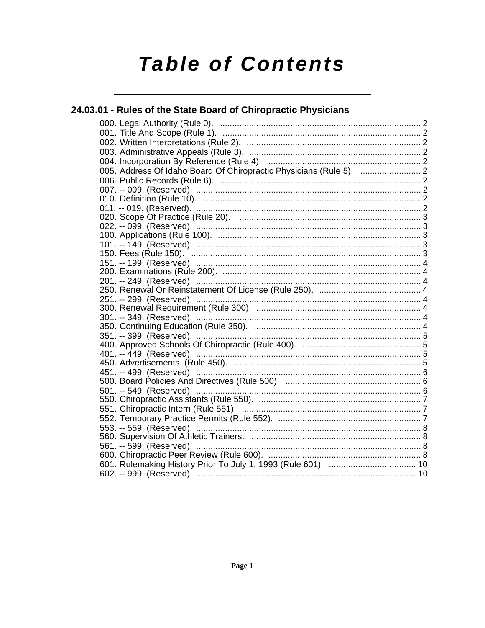# **Table of Contents**

# 24.03.01 - Rules of the State Board of Chiropractic Physicians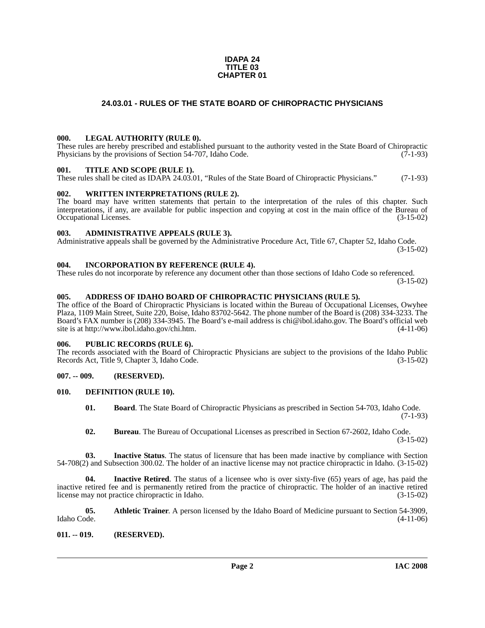#### **IDAPA 24 TITLE 03 CHAPTER 01**

# **24.03.01 - RULES OF THE STATE BOARD OF CHIROPRACTIC PHYSICIANS**

#### <span id="page-1-1"></span><span id="page-1-0"></span>**000. LEGAL AUTHORITY (RULE 0).**

These rules are hereby prescribed and established pursuant to the authority vested in the State Board of Chiropractic Physicians by the provisions of Section 54-707, Idaho Code. (7-1-93)

#### <span id="page-1-2"></span>**001. TITLE AND SCOPE (RULE 1).**

These rules shall be cited as IDAPA 24.03.01, "Rules of the State Board of Chiropractic Physicians." (7-1-93)

#### <span id="page-1-3"></span>**002. WRITTEN INTERPRETATIONS (RULE 2).**

The board may have written statements that pertain to the interpretation of the rules of this chapter. Such interpretations, if any, are available for public inspection and copying at cost in the main office of the Bureau of Occupational Licenses. (3-15-02) Occupational Licenses.

#### <span id="page-1-4"></span>**003. ADMINISTRATIVE APPEALS (RULE 3).**

Administrative appeals shall be governed by the Administrative Procedure Act, Title 67, Chapter 52, Idaho Code. (3-15-02)

<span id="page-1-5"></span>**004. INCORPORATION BY REFERENCE (RULE 4).**

These rules do not incorporate by reference any document other than those sections of Idaho Code so referenced. (3-15-02)

### <span id="page-1-6"></span>**005. ADDRESS OF IDAHO BOARD OF CHIROPRACTIC PHYSICIANS (RULE 5).**

[The office of the Board of Chiropractic Physicians is located within the Bureau of Occupational Licenses, Owyhee](mailto:chi@ibol.idaho.gov)  Plaza, 1109 Main Street, Suite 220, Boise, Idaho 83702-5642. The phone number of the Board is (208) 334-3233. The Board's FAX number is (208) 334-3945. The Board's e-mail address is chi@ibol.idaho.gov. The Board's official web [site is at](mailto:chi@ibol.idaho.gov) [http://www.ibol.idaho.gov/chi.htm. \(4-11-06\)](http://www.ibol.idaho.gov/chi.htm)

#### <span id="page-1-7"></span>**006. PUBLIC RECORDS (RULE 6).**

The records associated with the Board of Chiropractic Physicians are subject to the provisions of the Idaho Public Records Act, Title 9, Chapter 3, Idaho Code. (3-15-02)

# <span id="page-1-8"></span>**007. -- 009. (RESERVED).**

#### <span id="page-1-9"></span>**010. DEFINITION (RULE 10).**

- <span id="page-1-12"></span>**01. Board**. The State Board of Chiropractic Physicians as prescribed in Section 54-703, Idaho Code. (7-1-93)
- **02. Bureau**. The Bureau of Occupational Licenses as prescribed in Section 67-2602, Idaho Code. (3-15-02)

**03. Inactive Status**. The status of licensure that has been made inactive by compliance with Section 54-708(2) and Subsection 300.02. The holder of an inactive license may not practice chiropractic in Idaho. (3-15-02)

**04. Inactive Retired**. The status of a licensee who is over sixty-five (65) years of age, has paid the inactive retired fee and is permanently retired from the practice of chiropractic. The holder of an inactive retired license may not practice chiropractic in Idaho. (3-15-02)

<span id="page-1-11"></span>**05.** Athletic Trainer. A person licensed by the Idaho Board of Medicine pursuant to Section 54-3909, Idaho Code. (4-11-06) Idaho Code. (4-11-06)

#### <span id="page-1-10"></span>**011. -- 019. (RESERVED).**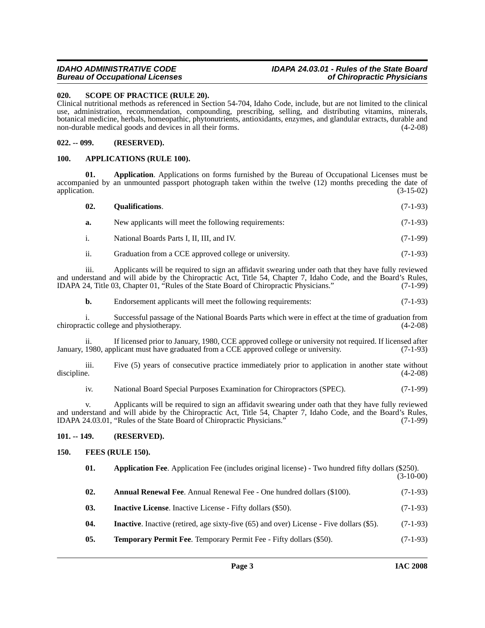# *Bureau of Occupational Licenses*

# *IDAHO ADMINISTRATIVE CODE IDAPA 24.03.01 - Rules of the State Board*

# <span id="page-2-12"></span><span id="page-2-0"></span>**020. SCOPE OF PRACTICE (RULE 20).**

Clinical nutritional methods as referenced in Section 54-704, Idaho Code, include, but are not limited to the clinical use, administration, recommendation, compounding, prescribing, selling, and distributing vitamins, minerals, botanical medicine, herbals, homeopathic, phytonutrients, antioxidants, enzymes, and glandular extracts, durable and non-durable medical goods and devices in all their forms. (4-2-08)

# <span id="page-2-1"></span>**022. -- 099. (RESERVED).**

#### <span id="page-2-7"></span><span id="page-2-2"></span>**100. APPLICATIONS (RULE 100).**

**01. Application**. Applications on forms furnished by the Bureau of Occupational Licenses must be accompanied by an unmounted passport photograph taken within the twelve (12) months preceding the date of application. (3-15-02) application. (3-15-02)

<span id="page-2-11"></span>

| 02. | <b>Qualifications.</b> | $(7-1-93)$ |
|-----|------------------------|------------|
|     |                        |            |

| New applicants will meet the following requirements: | $(7-1-93)$ |
|------------------------------------------------------|------------|
| National Boards Parts I, II, III, and IV.            | $(7-1-99)$ |

ii. Graduation from a CCE approved college or university. (7-1-93)

iii. Applicants will be required to sign an affidavit swearing under oath that they have fully reviewed and understand and will abide by the Chiropractic Act, Title 54, Chapter 7, Idaho Code, and the Board's Rules, IDAPA 24, Title 03, Chapter 01, "Rules of the State Board of Chiropractic Physicians." (7-1-99)

**b.** Endorsement applicants will meet the following requirements:  $(7-1-93)$ 

i. Successful passage of the National Boards Parts which were in effect at the time of graduation from chiropractic college and physiotherapy. (4-2-08)

ii. If licensed prior to January, 1980, CCE approved college or university not required. If licensed after January, 1980, applicant must have graduated from a CCE approved college or university. (7-1-93)

iii. Five (5) years of consecutive practice immediately prior to application in another state without discipline.  $(4-2-08)$ 

iv. National Board Special Purposes Examination for Chiropractors (SPEC). (7-1-99)

v. Applicants will be required to sign an affidavit swearing under oath that they have fully reviewed and understand and will abide by the Chiropractic Act, Title 54, Chapter 7, Idaho Code, and the Board's Rules, IDAPA 24.03.01, "Rules of the State Board of Chiropractic Physicians." (7-1-99)

# <span id="page-2-3"></span>**101. -- 149. (RESERVED).**

# <span id="page-2-4"></span>**150. FEES (RULE 150).**

<span id="page-2-13"></span><span id="page-2-10"></span><span id="page-2-9"></span><span id="page-2-8"></span><span id="page-2-6"></span><span id="page-2-5"></span>

| 01. | <b>Application Fee.</b> Application Fee (includes original license) - Two hundred fifty dollars (\$250). | $(3-10-00)$ |
|-----|----------------------------------------------------------------------------------------------------------|-------------|
| 02. | <b>Annual Renewal Fee.</b> Annual Renewal Fee - One hundred dollars (\$100).                             | $(7-1-93)$  |
| 03. | <b>Inactive License.</b> Inactive License - Fifty dollars (\$50).                                        | $(7-1-93)$  |
| 04. | <b>Inactive.</b> Inactive (retired, age sixty-five (65) and over) License - Five dollars (\$5).          | $(7-1-93)$  |
| 05. | <b>Temporary Permit Fee.</b> Temporary Permit Fee - Fifty dollars (\$50).                                | $(7-1-93)$  |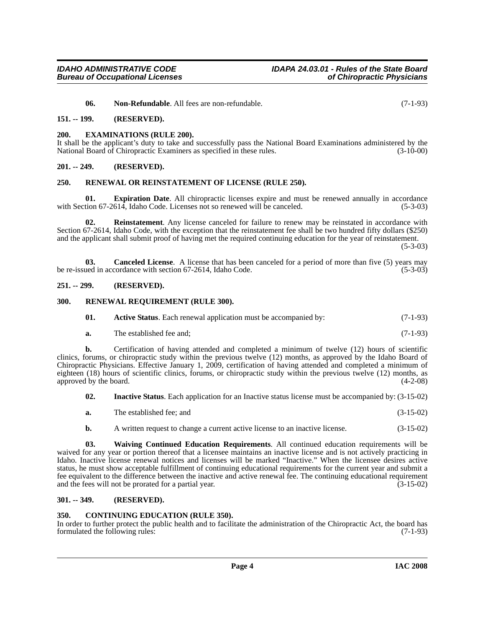<span id="page-3-13"></span>**06. Non-Refundable**. All fees are non-refundable. (7-1-93)

#### <span id="page-3-0"></span>**151. -- 199. (RESERVED).**

#### <span id="page-3-1"></span>**200. EXAMINATIONS (RULE 200).**

It shall be the applicant's duty to take and successfully pass the National Board Examinations administered by the National Board of Chiropractic Examiners as specified in these rules. (3-10-00) National Board of Chiropractic Examiners as specified in these rules.

#### <span id="page-3-2"></span>**201. -- 249. (RESERVED).**

#### <span id="page-3-15"></span><span id="page-3-3"></span>**250. RENEWAL OR REINSTATEMENT OF LICENSE (RULE 250).**

<span id="page-3-11"></span>**01. Expiration Date**. All chiropractic licenses expire and must be renewed annually in accordance with Section 67-2614, Idaho Code. Licenses not so renewed will be canceled. (5-3-03)

<span id="page-3-14"></span>**02. Reinstatement**. Any license canceled for failure to renew may be reinstated in accordance with Section 67-2614, Idaho Code, with the exception that the reinstatement fee shall be two hundred fifty dollars (\$250) and the applicant shall submit proof of having met the required continuing education for the year of reinstatement.  $(5-3-03)$ 

<span id="page-3-9"></span>**03. Canceled License**. A license that has been canceled for a period of more than five (5) years may be re-issued in accordance with section 67-2614, Idaho Code. (5-3-03)

#### <span id="page-3-4"></span>**251. -- 299. (RESERVED).**

#### <span id="page-3-5"></span>**300. RENEWAL REQUIREMENT (RULE 300).**

<span id="page-3-16"></span><span id="page-3-8"></span>

| 01. | <b>Active Status.</b> Each renewal application must be accompanied by: | $(7-1-93)$ |
|-----|------------------------------------------------------------------------|------------|
|-----|------------------------------------------------------------------------|------------|

**a.** The established fee and; (7-1-93)

**b.** Certification of having attended and completed a minimum of twelve (12) hours of scientific clinics, forums, or chiropractic study within the previous twelve (12) months, as approved by the Idaho Board of Chiropractic Physicians. Effective January 1, 2009, certification of having attended and completed a minimum of eighteen (18) hours of scientific clinics, forums, or chiropractic study within the previous twelve (12) months, as approved by the board. (4-2-08)  $(4-2-08)$ 

- <span id="page-3-12"></span>**02. Inactive Status**. Each application for an Inactive status license must be accompanied by: (3-15-02)
- **a.** The established fee; and (3-15-02)
- <span id="page-3-17"></span>**b.** A written request to change a current active license to an inactive license.  $(3-15-02)$

**03. Waiving Continued Education Requirements**. All continued education requirements will be waived for any year or portion thereof that a licensee maintains an inactive license and is not actively practicing in Idaho. Inactive license renewal notices and licenses will be marked "Inactive." When the licensee desires active status, he must show acceptable fulfillment of continuing educational requirements for the current year and submit a fee equivalent to the difference between the inactive and active renewal fee. The continuing educational requirement and the fees will not be prorated for a partial year. (3-15-02) and the fees will not be prorated for a partial year.

#### <span id="page-3-6"></span>**301. -- 349. (RESERVED).**

#### <span id="page-3-10"></span><span id="page-3-7"></span>**350. CONTINUING EDUCATION (RULE 350).**

In order to further protect the public health and to facilitate the administration of the Chiropractic Act, the board has formulated the following rules: (7-1-93) formulated the following rules: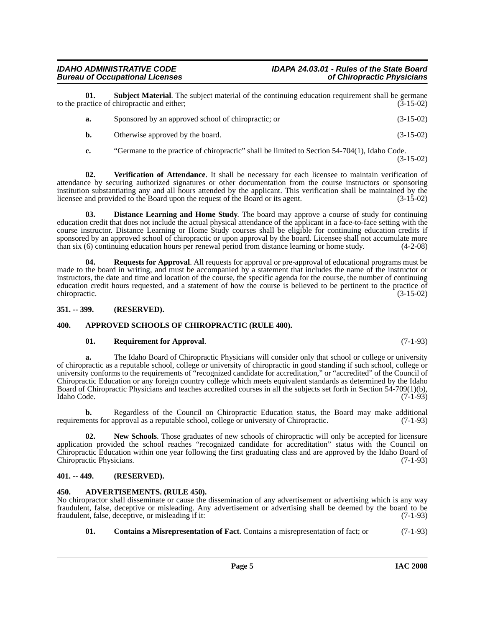### *IDAHO ADMINISTRATIVE CODE IDAPA 24.03.01 - Rules of the State Board* **Bureau of Occupational Licenses**

**01. Subject Material**. The subject material of the continuing education requirement shall be germane actice of chiropractic and either: (3-15-02) to the practice of chiropractic and either;

<span id="page-4-11"></span>

| Sponsored by an approved school of chiropractic; or | $(3-15-02)$ |
|-----------------------------------------------------|-------------|
| Otherwise approved by the board.                    | $(3-15-02)$ |

<span id="page-4-12"></span>**c.** "Germane to the practice of chiropractic" shall be limited to Section 54-704(1), Idaho Code.

**02. Verification of Attendance**. It shall be necessary for each licensee to maintain verification of attendance by securing authorized signatures or other documentation from the course instructors or sponsoring institution substantiating any and all hours attended by the applicant. This verification shall be maintained by the licensee and provided to the Board upon the request of the Board or its agent. (3-15-02)

<span id="page-4-7"></span>**03. Distance Learning and Home Study**. The board may approve a course of study for continuing education credit that does not include the actual physical attendance of the applicant in a face-to-face setting with the course instructor. Distance Learning or Home Study courses shall be eligible for continuing education credits if sponsored by an approved school of chiropractic or upon approval by the board. Licensee shall not accumulate more than six (6) continuing education hours per renewal period from distance learning or home study. (4-2-08)

<span id="page-4-9"></span>**04. Requests for Approval**. All requests for approval or pre-approval of educational programs must be made to the board in writing, and must be accompanied by a statement that includes the name of the instructor or instructors, the date and time and location of the course, the specific agenda for the course, the number of continuing education credit hours requested, and a statement of how the course is believed to be pertinent to the practice of chiropractic. (3-15-02)

# <span id="page-4-0"></span>**351. -- 399. (RESERVED).**

# <span id="page-4-1"></span>**400. APPROVED SCHOOLS OF CHIROPRACTIC (RULE 400).**

# <span id="page-4-10"></span><span id="page-4-5"></span>**01. Requirement for Approval**. (7-1-93)

**a.** The Idaho Board of Chiropractic Physicians will consider only that school or college or university of chiropractic as a reputable school, college or university of chiropractic in good standing if such school, college or university conforms to the requirements of "recognized candidate for accreditation," or "accredited" of the Council of Chiropractic Education or any foreign country college which meets equivalent standards as determined by the Idaho Board of Chiropractic Physicians and teaches accredited courses in all the subjects set forth in Section 54-709(1)(b), Idaho Code. (7-1-93)

**b.** Regardless of the Council on Chiropractic Education status, the Board may make additional requirements for approval as a reputable school, college or university of Chiropractic. (7-1-93)

<span id="page-4-8"></span>**02. New Schools**. Those graduates of new schools of chiropractic will only be accepted for licensure application provided the school reaches "recognized candidate for accreditation" status with the Council on Chiropractic Education within one year following the first graduating class and are approved by the Idaho Board of Chiropractic Physicians. (7-1-93)

# <span id="page-4-2"></span>**401. -- 449. (RESERVED).**

# <span id="page-4-4"></span><span id="page-4-3"></span>**450. ADVERTISEMENTS. (RULE 450).**

No chiropractor shall disseminate or cause the dissemination of any advertisement or advertising which is any way fraudulent, false, deceptive or misleading. Any advertisement or advertising shall be deemed by the board to be fraudulent, false, deceptive, or misleading if it: (7-1-93)

<span id="page-4-6"></span>**01. Contains a Misrepresentation of Fact**. Contains a misrepresentation of fact; or (7-1-93)

(3-15-02)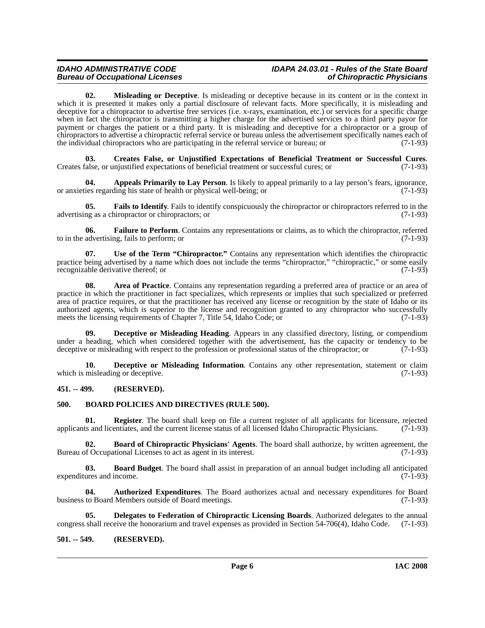# *Bureau of Occupational Licenses*

# *IDAHO ADMINISTRATIVE CODE IDAPA 24.03.01 - Rules of the State Board*

<span id="page-5-15"></span>**02. Misleading or Deceptive**. Is misleading or deceptive because in its content or in the context in which it is presented it makes only a partial disclosure of relevant facts. More specifically, it is misleading and deceptive for a chiropractor to advertise free services (i.e. x-rays, examination, etc.) or services for a specific charge when in fact the chiropractor is transmitting a higher charge for the advertised services to a third party payor for payment or charges the patient or a third party. It is misleading and deceptive for a chiropractor or a group of chiropractors to advertise a chiropractic referral service or bureau unless the advertisement specifically names each of the individual chiropractors who are participating in the referral service or bureau: or (7-1-93) the individual chiropractors who are participating in the referral service or bureau; or

<span id="page-5-9"></span>**03. Creates False, or Unjustified Expectations of Beneficial Treatment or Successful Cures**. Creates false, or unjustified expectations of beneficial treatment or successful cures; or (7-1-93)

<span id="page-5-3"></span>**04. Appeals Primarily to Lay Person**. Is likely to appeal primarily to a lay person's fears, ignorance, ies regarding his state of health or physical well-being: or or anxieties regarding his state of health or physical well-being; or

<span id="page-5-13"></span>**05. Fails to Identify**. Fails to identify conspicuously the chiropractor or chiropractors referred to in the ng as a chiropractor or chiropractors; or  $(7-1-93)$ advertising as a chiropractor or chiropractors; or

<span id="page-5-14"></span>**06. Failure to Perform**. Contains any representations or claims, as to which the chiropractor, referred to in the advertising, fails to perform; or  $(7-1-93)$ 

<span id="page-5-17"></span>**07. Use of the Term "Chiropractor."** Contains any representation which identifies the chiropractic practice being advertised by a name which does not include the terms "chiropractor," "chiropractic," or some easily recognizable derivative thereof; or recognizable derivative thereof; or

<span id="page-5-4"></span>**08. Area of Practice**. Contains any representation regarding a preferred area of practice or an area of practice in which the practitioner in fact specializes, which represents or implies that such specialized or preferred area of practice requires, or that the practitioner has received any license or recognition by the state of Idaho or its authorized agents, which is superior to the license and recognition granted to any chiropractor who successfully meets the licensing requirements of Chapter 7, Title 54, Idaho Code; or (7-1-93)

<span id="page-5-10"></span>**Deceptive or Misleading Heading**. Appears in any classified directory, listing, or compendium under a heading, which when considered together with the advertisement, has the capacity or tendency to be deceptive or misleading with respect to the profession or professional status of the chiropractor; or (7-1-93)

<span id="page-5-11"></span>**10. Deceptive or Misleading Information**. Contains any other representation, statement or claim which is misleading or deceptive. (7-1-93)

# <span id="page-5-0"></span>**451. -- 499. (RESERVED).**

#### <span id="page-5-7"></span><span id="page-5-1"></span>**500. BOARD POLICIES AND DIRECTIVES (RULE 500).**

<span id="page-5-16"></span>**01. Register**. The board shall keep on file a current register of all applicants for licensure, rejected applicants and licentiates, and the current license status of all licensed Idaho Chiropractic Physicians. (7-1-93)

<span id="page-5-8"></span>**02. Board of Chiropractic Physicians' Agents**. The board shall authorize, by written agreement, the of Occupational Licenses to act as agent in its interest. (7-1-93) Bureau of Occupational Licenses to act as agent in its interest.

<span id="page-5-6"></span>**03. Board Budget**. The board shall assist in preparation of an annual budget including all anticipated expenditures and income. (7-1-93)

<span id="page-5-5"></span>**04. Authorized Expenditures**. The Board authorizes actual and necessary expenditures for Board business to Board Members outside of Board meetings. (7-1-93)

<span id="page-5-12"></span>**05. Delegates to Federation of Chiropractic Licensing Boards**. Authorized delegates to the annual congress shall receive the honorarium and travel expenses as provided in Section 54-706(4), Idaho Code. (7-1-93)

# <span id="page-5-2"></span>**501. -- 549. (RESERVED).**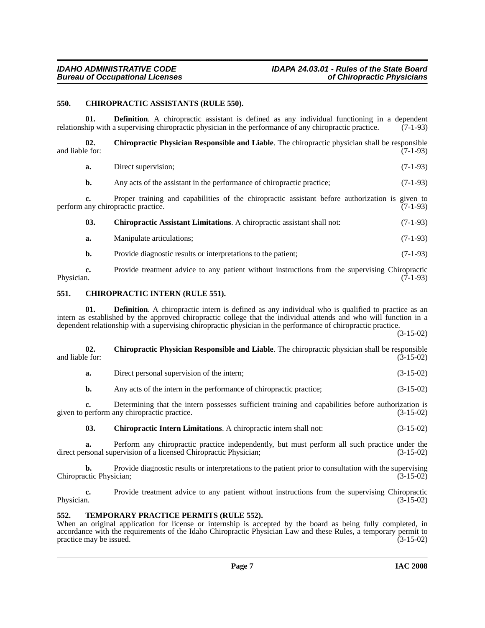### <span id="page-6-4"></span><span id="page-6-0"></span>**550. CHIROPRACTIC ASSISTANTS (RULE 550).**

**01. Definition**. A chiropractic assistant is defined as any individual functioning in a dependent hip with a supervising chiropractic physician in the performance of any chiropractic practice. (7-1-93) relationship with a supervising chiropractic physician in the performance of any chiropractic practice.

<span id="page-6-7"></span>**02.** Chiropractic Physician Responsible and Liable. The chiropractic physician shall be responsible and liable for: (7-1-93) and liable for:  $(7-1-93)$ 

<span id="page-6-3"></span>

| a.  | Direct supervision;                                                                                                                   | $(7-1-93)$ |
|-----|---------------------------------------------------------------------------------------------------------------------------------------|------------|
| b.  | Any acts of the assistant in the performance of chiropractic practice;                                                                | $(7-1-93)$ |
|     | Proper training and capabilities of the chiropractic assistant before authorization is given to<br>perform any chiropractic practice. | $(7-1-93)$ |
| 03. | Chiropractic Assistant Limitations. A chiropractic assistant shall not:                                                               | $(7-1-93)$ |
| a.  | Manipulate articulations;                                                                                                             | $(7-1-93)$ |
| b.  | Provide diagnostic results or interpretations to the patient;                                                                         | $(7-1-93)$ |
|     |                                                                                                                                       |            |

**c.** Provide treatment advice to any patient without instructions from the supervising Chiropractic Physician.  $(7-1-93)$ 

### <span id="page-6-5"></span><span id="page-6-1"></span>**551. CHIROPRACTIC INTERN (RULE 551).**

**01. Definition**. A chiropractic intern is defined as any individual who is qualified to practice as an intern as established by the approved chiropractic college that the individual attends and who will function in a dependent relationship with a supervising chiropractic physician in the performance of chiropractic practice.

(3-15-02)

<span id="page-6-8"></span>

| 02.<br>and liable for: | <b>Chiropractic Physician Responsible and Liable.</b> The chiropractic physician shall be responsible<br>$(3-15-02)$                              |             |  |
|------------------------|---------------------------------------------------------------------------------------------------------------------------------------------------|-------------|--|
| a.                     | Direct personal supervision of the intern;                                                                                                        | $(3-15-02)$ |  |
| b.                     | Any acts of the intern in the performance of chiropractic practice;                                                                               | $(3-15-02)$ |  |
|                        | Determining that the intern possesses sufficient training and capabilities before authorization is<br>given to perform any chiropractic practice. | $(3-15-02)$ |  |
| 03.                    | <b>Chiropractic Intern Limitations.</b> A chiropractic intern shall not:                                                                          | $(3-15-02)$ |  |

<span id="page-6-6"></span>**a.** Perform any chiropractic practice independently, but must perform all such practice under the rsonal supervision of a licensed Chiropractic Physician; (3-15-02) direct personal supervision of a licensed Chiropractic Physician;

**b.** Provide diagnostic results or interpretations to the patient prior to consultation with the supervising ctic Physician; (3-15-02) Chiropractic Physician;

**c.** Provide treatment advice to any patient without instructions from the supervising Chiropractic Physician. (3-15-02) Physician.  $(3-15-02)$ 

#### <span id="page-6-9"></span><span id="page-6-2"></span>**552. TEMPORARY PRACTICE PERMITS (RULE 552).**

When an original application for license or internship is accepted by the board as being fully completed, in accordance with the requirements of the Idaho Chiropractic Physician Law and these Rules, a temporary permit to practice may be issued. (3-15-02)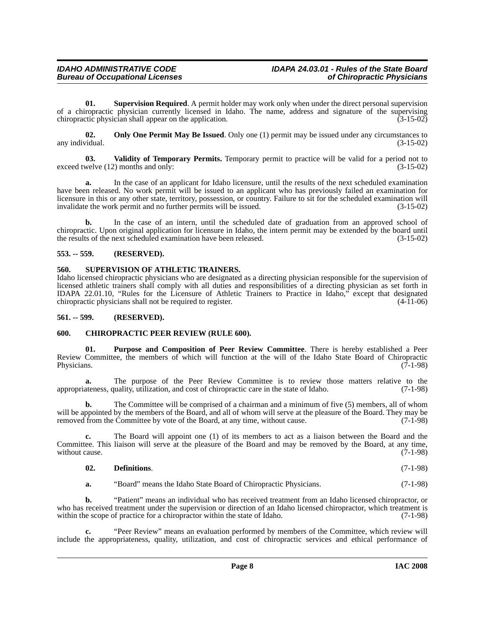**01. Supervision Required**. A permit holder may work only when under the direct personal supervision of a chiropractic physician currently licensed in Idaho. The name, address and signature of the supervising chiropractic physician shall appear on the application. (3-15-02) chiropractic physician shall appear on the application.

<span id="page-7-5"></span>**02. Only One Permit May Be Issued**. Only one (1) permit may be issued under any circumstances to *i*dual. (3-15-02) any individual.

<span id="page-7-8"></span>**03. Validity of Temporary Permits.** Temporary permit to practice will be valid for a period not to exceed twelve (12) months and only: (3-15-02)

**a.** In the case of an applicant for Idaho licensure, until the results of the next scheduled examination have been released. No work permit will be issued to an applicant who has previously failed an examination for licensure in this or any other state, territory, possession, or country. Failure to sit for the scheduled examination will invalidate the work permit and no further permits will be issued. (3-15-02)

**b.** In the case of an intern, until the scheduled date of graduation from an approved school of chiropractic. Upon original application for licensure in Idaho, the intern permit may be extended by the board until the results of the next scheduled examination have been released. (3-15-02)

### <span id="page-7-0"></span>**553. -- 559. (RESERVED).**

#### <span id="page-7-7"></span><span id="page-7-1"></span>**560. SUPERVISION OF ATHLETIC TRAINERS.**

Idaho licensed chiropractic physicians who are designated as a directing physician responsible for the supervision of licensed athletic trainers shall comply with all duties and responsibilities of a directing physician as set forth in IDAPA 22.01.10, "Rules for the Licensure of Athletic Trainers to Practice in Idaho," except that designated chiropractic physicians shall not be required to register. (4-11-06)

### <span id="page-7-2"></span>**561. -- 599. (RESERVED).**

# <span id="page-7-4"></span><span id="page-7-3"></span>**600. CHIROPRACTIC PEER REVIEW (RULE 600).**

<span id="page-7-6"></span>**01. Purpose and Composition of Peer Review Committee**. There is hereby established a Peer Review Committee, the members of which will function at the will of the Idaho State Board of Chiropractic Physicians. (7-1-98) Physicians.  $(7-1-98)$ 

**a.** The purpose of the Peer Review Committee is to review those matters relative to the appropriateness, quality, utilization, and cost of chiropractic care in the state of Idaho. (7-1-98)

**b.** The Committee will be comprised of a chairman and a minimum of five (5) members, all of whom will be appointed by the members of the Board, and all of whom will serve at the pleasure of the Board. They may be removed from the Committee by vote of the Board, at any time, without cause. (7-1-98)

**c.** The Board will appoint one (1) of its members to act as a liaison between the Board and the Committee. This liaison will serve at the pleasure of the Board and may be removed by the Board, at any time, without cause. (7-1-98) without cause.

#### **02. Definitions**. (7-1-98)

**a.** "Board" means the Idaho State Board of Chiropractic Physicians. (7-1-98)

**b.** "Patient" means an individual who has received treatment from an Idaho licensed chiropractor, or who has received treatment under the supervision or direction of an Idaho licensed chiropractor, which treatment is within the scope of practice for a chiropractor within the state of Idaho. (7-1-98)

**c.** "Peer Review" means an evaluation performed by members of the Committee, which review will include the appropriateness, quality, utilization, and cost of chiropractic services and ethical performance of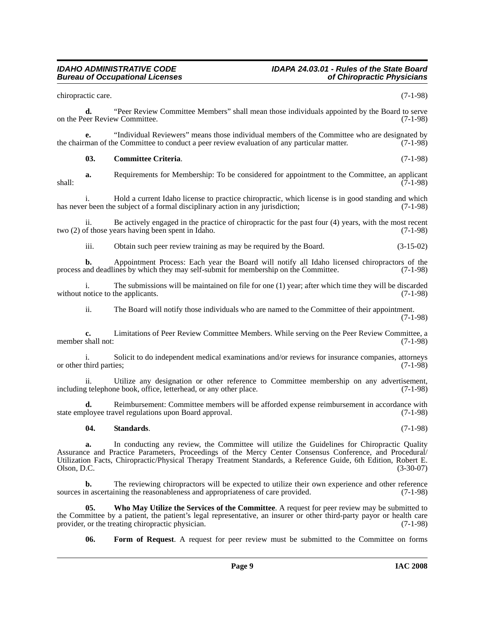chiropractic care. (7-1-98)

**d.** "Peer Review Committee Members" shall mean those individuals appointed by the Board to serve on the Peer Review Committee. (7-1-98)

**e.** "Individual Reviewers" means those individual members of the Committee who are designated by man of the Committee to conduct a peer review evaluation of any particular matter. (7-1-98) the chairman of the Committee to conduct a peer review evaluation of any particular matter.

#### <span id="page-8-0"></span>**03. Committee Criteria**. (7-1-98)

**a.** Requirements for Membership: To be considered for appointment to the Committee, an applicant  $\overline{(7-1-98)}$  shall:

i. Hold a current Idaho license to practice chiropractic, which license is in good standing and which has never been the subject of a formal disciplinary action in any jurisdiction; (7-1-98)

ii. Be actively engaged in the practice of chiropractic for the past four (4) years, with the most recent two (2) of those years having been spent in Idaho. (7-1-98)

iii. Obtain such peer review training as may be required by the Board. (3-15-02)

**b.** Appointment Process: Each year the Board will notify all Idaho licensed chiropractors of the nod deadlines by which they may self-submit for membership on the Committee. (7-1-98) process and deadlines by which they may self-submit for membership on the Committee.

i. The submissions will be maintained on file for one (1) year; after which time they will be discarded notice to the applicants.  $(7-1-98)$ without notice to the applicants.

ii. The Board will notify those individuals who are named to the Committee of their appointment. (7-1-98)

**c.** Limitations of Peer Review Committee Members. While serving on the Peer Review Committee, a shall not: (7-1-98) member shall not:

i. Solicit to do independent medical examinations and/or reviews for insurance companies, attorneys or other third parties;

ii. Utilize any designation or other reference to Committee membership on any advertisement, including telephone book, office, letterhead, or any other place. (7-1-98)

**d.** Reimbursement: Committee members will be afforded expense reimbursement in accordance with state employee travel regulations upon Board approval. (7-1-98)

#### <span id="page-8-2"></span>**04. Standards**. (7-1-98)

**a.** In conducting any review, the Committee will utilize the Guidelines for Chiropractic Quality Assurance and Practice Parameters, Proceedings of the Mercy Center Consensus Conference, and Procedural/ Utilization Facts, Chiropractic/Physical Therapy Treatment Standards, a Reference Guide, 6th Edition, Robert E. Olson, D.C. (3-30-07)

**b.** The reviewing chiropractors will be expected to utilize their own experience and other reference sources in ascertaining the reasonableness and appropriateness of care provided. (7-1-98)

**05. Who May Utilize the Services of the Committee**. A request for peer review may be submitted to the Committee by a patient, the patient's legal representative, an insurer or other third-party payor or health care<br>provider, or the treating chiropractic physician. (7-1-98) provider, or the treating chiropractic physician.

<span id="page-8-3"></span><span id="page-8-1"></span>**06. Form of Request**. A request for peer review must be submitted to the Committee on forms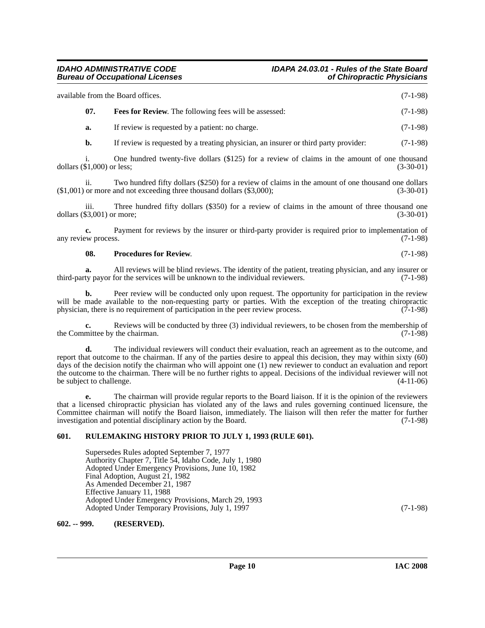| available from the Board offices. |                                                              | $(7-1-98)$ |
|-----------------------------------|--------------------------------------------------------------|------------|
|                                   | <b>Fees for Review.</b> The following fees will be assessed: | $(7-1-98)$ |
|                                   |                                                              |            |

<span id="page-9-2"></span>**a.** If review is requested by a patient: no charge. (7-1-98)

**b.** If review is requested by a treating physician, an insurer or third party provider: (7-1-98)

i. One hundred twenty-five dollars (\$125) for a review of claims in the amount of one thousand dollars (\$1,000) or less; (3-30-01)

ii. Two hundred fifty dollars (\$250) for a review of claims in the amount of one thousand one dollars or more and not exceeding three thousand dollars (\$3,000); (3-30-01)  $($1,001)$  or more and not exceeding three thousand dollars  $($3,000)$ ;

iii. Three hundred fifty dollars (\$350) for a review of claims in the amount of three thousand one dollars (\$3,001) or more; (3-30-01)

**c.** Payment for reviews by the insurer or third-party provider is required prior to implementation of any review process. (7-1-98)

#### <span id="page-9-3"></span>**08. Procedures for Review**. (7-1-98)

**a.** All reviews will be blind reviews. The identity of the patient, treating physician, and any insurer or third-party payor for the services will be unknown to the individual reviewers.

**b.** Peer review will be conducted only upon request. The opportunity for participation in the review will be made available to the non-requesting party or parties. With the exception of the treating chiropractic physician, there is no requirement of participation in the peer review process. (7-1-98) physician, there is no requirement of participation in the peer review process.

Reviews will be conducted by three (3) individual reviewers, to be chosen from the membership of the chairman. (7-1-98) the Committee by the chairman.

The individual reviewers will conduct their evaluation, reach an agreement as to the outcome, and report that outcome to the chairman. If any of the parties desire to appeal this decision, they may within sixty (60) days of the decision notify the chairman who will appoint one (1) new reviewer to conduct an evaluation and report the outcome to the chairman. There will be no further rights to appeal. Decisions of the individual reviewer will not be subject to challenge. (4-11-06)

**e.** The chairman will provide regular reports to the Board liaison. If it is the opinion of the reviewers that a licensed chiropractic physician has violated any of the laws and rules governing continued licensure, the Committee chairman will notify the Board liaison, immediately. The liaison will then refer the matter for further investigation and potential disciplinary action by the Board. (7-1-98)

# <span id="page-9-0"></span>**601. RULEMAKING HISTORY PRIOR TO JULY 1, 1993 (RULE 601).**

Supersedes Rules adopted September 7, 1977 Authority Chapter 7, Title 54, Idaho Code, July 1, 1980 Adopted Under Emergency Provisions, June 10, 1982 Final Adoption, August 21, 1982 As Amended December 21, 1987 Effective January 11, 1988 Adopted Under Emergency Provisions, March 29, 1993 Adopted Under Temporary Provisions, July 1, 1997 (7-1-98)

<span id="page-9-1"></span>**602. -- 999. (RESERVED).**